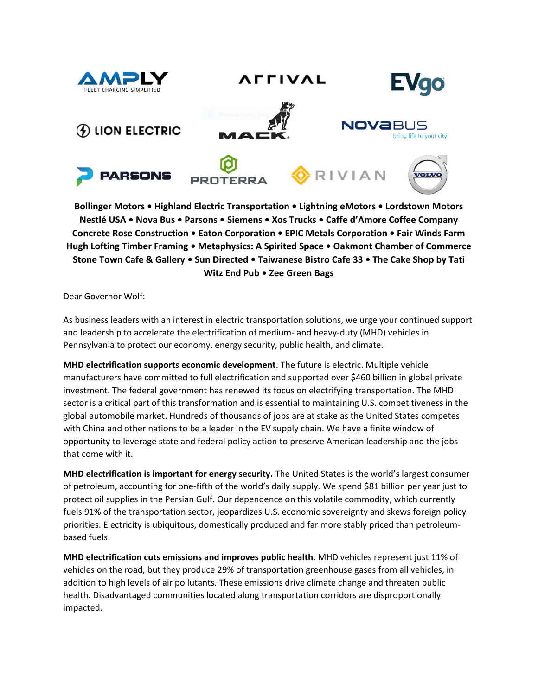

**AFFIVAL** 









RIVIAN



**Bollinger Motors • Highland Electric Transportation • Lightning eMotors • Lordstown Motors Nestlé USA • Nova Bus • Parsons • Siemens • Xos Trucks • Caffe d'Amore Coffee Company Concrete Rose Construction • Eaton Corporation • EPIC Metals Corporation • Fair Winds Farm Hugh Lofting Timber Framing • Metaphysics: A Spirited Space • Oakmont Chamber of Commerce Stone Town Cafe & Gallery • Sun Directed • Taiwanese Bistro Cafe 33 • The Cake Shop by Tati Witz End Pub • Zee Green Bags**

Dear Governor Wolf:

As business leaders with an interest in electric transportation solutions, we urge your continued support and leadership to accelerate the electrification of medium- and heavy-duty (MHD) vehicles in Pennsylvania to protect our economy, energy security, public health, and climate.

**MHD electrification supports economic development**. The future is electric. Multiple vehicle manufacturers have committed to full electrification and supported over \$460 billion in global private investment. The federal government has renewed its focus on electrifying transportation. The MHD sector is a critical part of this transformation and is essential to maintaining U.S. competitiveness in the global automobile market. Hundreds of thousands of jobs are at stake as the United States competes with China and other nations to be a leader in the EV supply chain. We have a finite window of opportunity to leverage state and federal policy action to preserve American leadership and the jobs that come with it.

**MHD electrification is important for energy security.** The United States is the world's largest consumer of petroleum, accounting for one-fifth of the world's daily supply. We spend \$81 billion per year just to protect oil supplies in the Persian Gulf. Our dependence on this volatile commodity, which currently fuels 91% of the transportation sector, jeopardizes U.S. economic sovereignty and skews foreign policy priorities. Electricity is ubiquitous, domestically produced and far more stably priced than petroleumbased fuels.

**MHD electrification cuts emissions and improves public health**. MHD vehicles represent just 11% of vehicles on the road, but they produce 29% of transportation greenhouse gases from all vehicles, in addition to high levels of air pollutants. These emissions drive climate change and threaten public health. Disadvantaged communities located along transportation corridors are disproportionally impacted.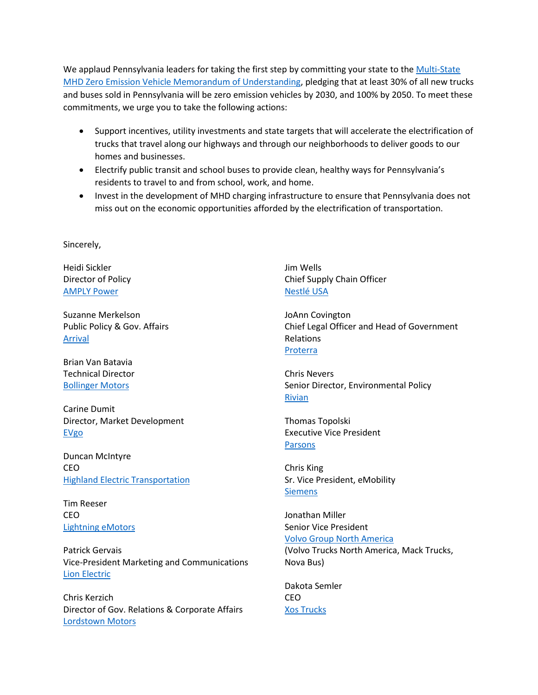We applaud Pennsylvania leaders for taking the first step by committing your state to the Multi-State [MHD Zero Emission Vehicle Memorandum of Understanding,](https://www.nescaum.org/documents/multistate-truck-zev-governors-mou-20200714.pdf) pledging that at least 30% of all new trucks and buses sold in Pennsylvania will be zero emission vehicles by 2030, and 100% by 2050. To meet these commitments, we urge you to take the following actions:

- Support incentives, utility investments and state targets that will accelerate the electrification of trucks that travel along our highways and through our neighborhoods to deliver goods to our homes and businesses.
- Electrify public transit and school buses to provide clean, healthy ways for Pennsylvania's residents to travel to and from school, work, and home.
- Invest in the development of MHD charging infrastructure to ensure that Pennsylvania does not miss out on the economic opportunities afforded by the electrification of transportation.

Sincerely,

Heidi Sickler Director of Policy [AMPLY Power](https://amplypower.com/)

Suzanne Merkelson Public Policy & Gov. Affairs [Arrival](https://arrival.com/)

Brian Van Batavia Technical Director [Bollinger Motors](https://bollingermotors.com/)

Carine Dumit Director, Market Development [EVgo](https://www.evgo.com/)

Duncan McIntyre CEO **[Highland Electric Transportation](https://www.highlandet.com/)** 

Tim Reeser CEO [Lightning eMotors](https://lightningemotors.com/)

Patrick Gervais Vice-President Marketing and Communications [Lion Electric](https://thelionelectric.com/en)

Chris Kerzich Director of Gov. Relations & Corporate Affairs [Lordstown Motors](https://lordstownmotors.com/)

Jim Wells Chief Supply Chain Officer [Nestlé USA](https://www.nestleusa.com/)

JoAnn Covington Chief Legal Officer and Head of Government Relations [Proterra](https://www.proterra.com/)

Chris Nevers Senior Director, Environmental Policy [Rivian](https://rivian.com/)

Thomas Topolski Executive Vice President **[Parsons](https://www.parsons.com/)** 

Chris King Sr. Vice President, eMobility **[Siemens](https://www.siemens.com/global/en.html)** 

Jonathan Miller Senior Vice President [Volvo Group North America](https://www.volvogroup.com/)

(Volvo Trucks North America, Mack Trucks, Nova Bus)

Dakota Semler CEO [Xos Trucks](https://xostrucks.com/)